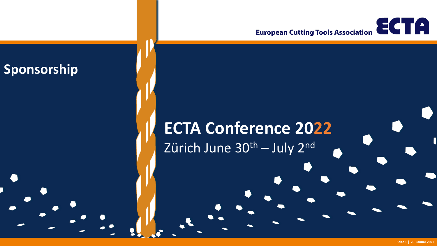

## **ECTA Conference 2022** Zürich June 30<sup>th</sup> – July 2<sup>nd</sup>

**Sponsorship**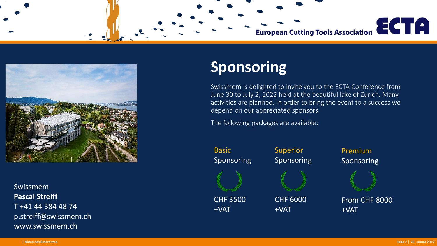

Swissmem **Pascal Streiff** T +41 44 384 48 74 p.streiff@swissmem.ch www.swissmem.ch

### **Sponsoring**

Swissmem is delighted to invite you to the ECTA Conference from June 30 to July 2, 2022 held at the beautiful lake of Zurich. Many activities are planned. In order to bring the event to a success we depend on our appreciated sponsors.

The following packages are available:

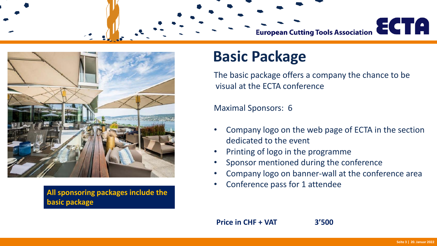

**All sponsoring packages include the basic package**

### **Basic Package**

The basic package offers a company the chance to be visual at the ECTA conference

Maximal Sponsors: 6

- Company logo on the web page of ECTA in the section dedicated to the event
- Printing of logo in the programme
- Sponsor mentioned during the conference
- Company logo on banner-wall at the conference area
- Conference pass for 1 attendee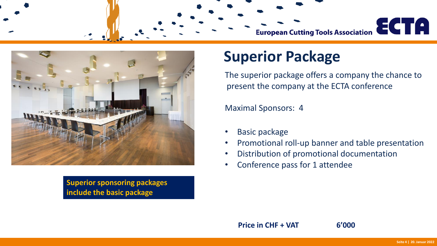

**Superior sponsoring packages include the basic package**

### **Superior Package**

The superior package offers a company the chance to present the company at the ECTA conference

Maximal Sponsors: 4

- Basic package
- Promotional roll-up banner and table presentation
- Distribution of promotional documentation
- Conference pass for 1 attendee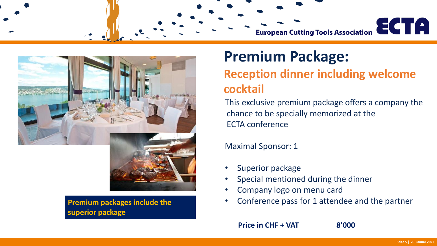

**Premium packages include the superior package**

### **Premium Package: Reception dinner including welcome cocktail**

This exclusive premium package offers a company the chance to be specially memorized at the ECTA conference

Maximal Sponsor: 1

- Superior package
- Special mentioned during the dinner
- Company logo on menu card
- Conference pass for 1 attendee and the partner

**Price in CHF + VAT 8'000**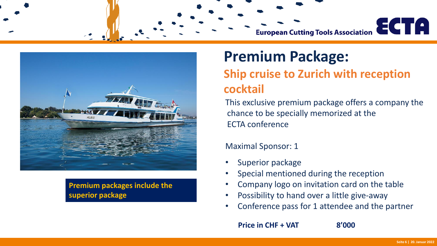

**Premium packages include the superior package**

### **Premium Package: Ship cruise to Zurich with reception cocktail**

This exclusive premium package offers a company the chance to be specially memorized at the ECTA conference

#### Maximal Sponsor: 1

- Superior package
- Special mentioned during the reception
- Company logo on invitation card on the table
- Possibility to hand over a little give-away
- Conference pass for 1 attendee and the partner

**Price in CHF + VAT 8'000**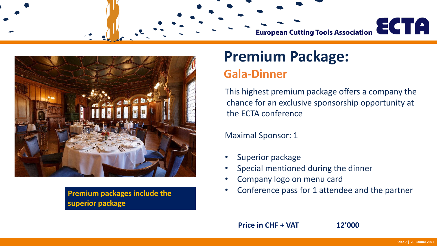

**Premium packages include the superior package**

## **Premium Package:**

### **Gala-Dinner**

This highest premium package offers a company the chance for an exclusive sponsorship opportunity at the ECTA conference

Maximal Sponsor: 1

- Superior package
- Special mentioned during the dinner
- Company logo on menu card
- Conference pass for 1 attendee and the partner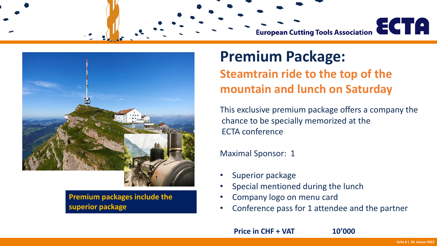

**Premium packages include the superior package**

### **Premium Package: Steamtrain ride to the top of the mountain and lunch on Saturday**

This exclusive premium package offers a company the chance to be specially memorized at the ECTA conference

Maximal Sponsor: 1

- Superior package
- Special mentioned during the lunch
- Company logo on menu card
- Conference pass for 1 attendee and the partner

**Price in CHF + VAT 10'000**